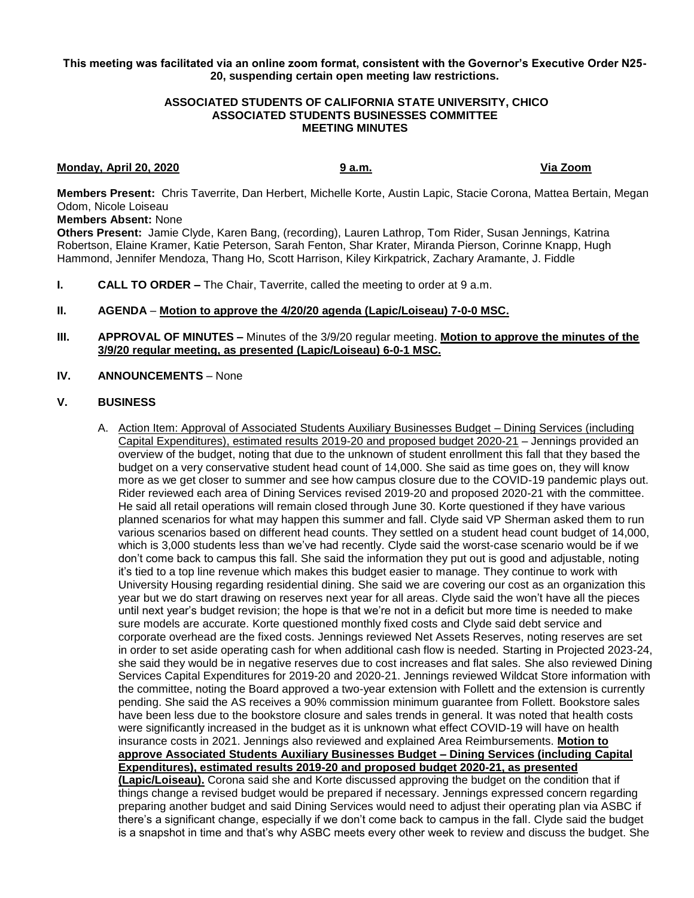### **This meeting was facilitated via an online zoom format, consistent with the Governor's Executive Order N25- 20, suspending certain open meeting law restrictions.**

## **ASSOCIATED STUDENTS OF CALIFORNIA STATE UNIVERSITY, CHICO ASSOCIATED STUDENTS BUSINESSES COMMITTEE MEETING MINUTES**

## **Monday, April 20, 2020 9 a.m. Via Zoom**

**Members Present:** Chris Taverrite, Dan Herbert, Michelle Korte, Austin Lapic, Stacie Corona, Mattea Bertain, Megan Odom, Nicole Loiseau

**Members Absent:** None

**Others Present:** Jamie Clyde, Karen Bang, (recording), Lauren Lathrop, Tom Rider, Susan Jennings, Katrina Robertson, Elaine Kramer, Katie Peterson, Sarah Fenton, Shar Krater, Miranda Pierson, Corinne Knapp, Hugh Hammond, Jennifer Mendoza, Thang Ho, Scott Harrison, Kiley Kirkpatrick, Zachary Aramante, J. Fiddle

**I. CALL TO ORDER –** The Chair, Taverrite, called the meeting to order at 9 a.m.

## **II. AGENDA** – **Motion to approve the 4/20/20 agenda (Lapic/Loiseau) 7-0-0 MSC.**

**III. APPROVAL OF MINUTES –** Minutes of the 3/9/20 regular meeting. **Motion to approve the minutes of the 3/9/20 regular meeting, as presented (Lapic/Loiseau) 6-0-1 MSC.**

# **IV. ANNOUNCEMENTS** – None

### **V. BUSINESS**

A. Action Item: Approval of Associated Students Auxiliary Businesses Budget – Dining Services (including Capital Expenditures), estimated results 2019-20 and proposed budget 2020-21 – Jennings provided an overview of the budget, noting that due to the unknown of student enrollment this fall that they based the budget on a very conservative student head count of 14,000. She said as time goes on, they will know more as we get closer to summer and see how campus closure due to the COVID-19 pandemic plays out. Rider reviewed each area of Dining Services revised 2019-20 and proposed 2020-21 with the committee. He said all retail operations will remain closed through June 30. Korte questioned if they have various planned scenarios for what may happen this summer and fall. Clyde said VP Sherman asked them to run various scenarios based on different head counts. They settled on a student head count budget of 14,000, which is 3,000 students less than we've had recently. Clyde said the worst-case scenario would be if we don't come back to campus this fall. She said the information they put out is good and adjustable, noting it's tied to a top line revenue which makes this budget easier to manage. They continue to work with University Housing regarding residential dining. She said we are covering our cost as an organization this year but we do start drawing on reserves next year for all areas. Clyde said the won't have all the pieces until next year's budget revision; the hope is that we're not in a deficit but more time is needed to make sure models are accurate. Korte questioned monthly fixed costs and Clyde said debt service and corporate overhead are the fixed costs. Jennings reviewed Net Assets Reserves, noting reserves are set in order to set aside operating cash for when additional cash flow is needed. Starting in Projected 2023-24, she said they would be in negative reserves due to cost increases and flat sales. She also reviewed Dining Services Capital Expenditures for 2019-20 and 2020-21. Jennings reviewed Wildcat Store information with the committee, noting the Board approved a two-year extension with Follett and the extension is currently pending. She said the AS receives a 90% commission minimum guarantee from Follett. Bookstore sales have been less due to the bookstore closure and sales trends in general. It was noted that health costs were significantly increased in the budget as it is unknown what effect COVID-19 will have on health insurance costs in 2021. Jennings also reviewed and explained Area Reimbursements. **Motion to approve Associated Students Auxiliary Businesses Budget – Dining Services (including Capital Expenditures), estimated results 2019-20 and proposed budget 2020-21, as presented (Lapic/Loiseau).** Corona said she and Korte discussed approving the budget on the condition that if things change a revised budget would be prepared if necessary. Jennings expressed concern regarding preparing another budget and said Dining Services would need to adjust their operating plan via ASBC if there's a significant change, especially if we don't come back to campus in the fall. Clyde said the budget is a snapshot in time and that's why ASBC meets every other week to review and discuss the budget. She